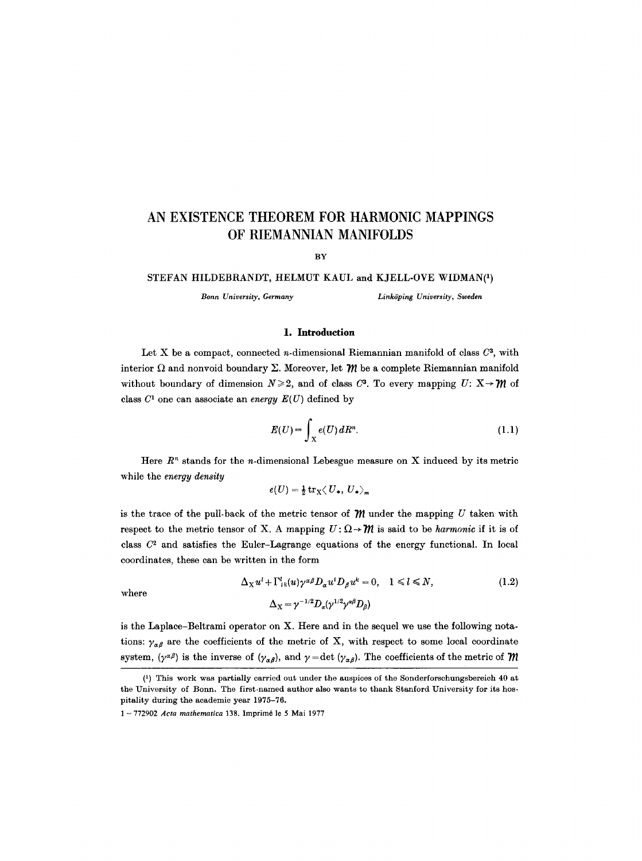# **AN EXISTENCE THEOREM FOR HARMONIC MAPPINGS OF RIEMANNIAN MANIFOLDS**

**BY** 

## STEFAN HILDEBRANDT, HELMUT KAUL and KJELL-OVE WIDMAN(1)

*Bonn University, Germany Link6ping University, Sweden* 

## **1. Introduction**

Let X be a compact, connected *n*-dimensional Riemannian manifold of class  $C^3$ , with interior  $\Omega$  and nonvoid boundary  $\Sigma$ . Moreover, let  $m$  be a complete Riemannian manifold without boundary of dimension  $N \ge 2$ , and of class  $C^3$ . To every mapping  $U: X \rightarrow M$  of class  $C^1$  one can associate an *energy*  $E(U)$  defined by

$$
E(U) = \int_{X} e(U) dR^{n}.
$$
 (1.1)

Here  $R<sup>n</sup>$  stands for the *n*-dimensional Lebesgue measure on X induced by its metric while the *energy density* 

$$
e(U) = \frac{1}{2} \operatorname{tr}_{\mathbf{X}} \langle U_*, U_* \rangle_m
$$

is the trace of the pull-back of the metric tensor of  $\mathcal{W}$  under the mapping U taken with respect to the metric tensor of X. A mapping  $U: \Omega \rightarrow \mathcal{W}$  is said to be *harmonic* if it is of class  $C<sup>2</sup>$  and satisfies the Euler-Lagrange equations of the energy functional. In local coordinates, these can be written in the form

where

$$
\Delta_X u^l + \Gamma^l_{ik}(u)\gamma^{\alpha\beta}D_\alpha u^i D_\beta u^k = 0, \quad 1 \le l \le N,
$$
  

$$
\Delta_X = \gamma^{-1/2}D_\alpha(\gamma^{1/2}\gamma^{\alpha\beta}D_\beta)
$$
 (1.2)

is the Laplace-Beltrami operator on X. Here and in the sequel we use the following notations:  $\gamma_{\alpha\beta}$  are the coefficients of the metric of X, with respect to some local coordinate system,  $(\gamma^{\alpha\beta})$  is the inverse of  $(\gamma_{\alpha\beta})$ , and  $\gamma = \det (\gamma_{\alpha\beta})$ . The coefficients of the metric of  $\mathcal M$ 

<sup>(1)</sup> This work was partially carried out under the auspices of the Sonderforschungsbereich 40 at the University of Bonn. The first-named author also wants to thank Stanford University for its hospitality during the academic year 1975-76.

<sup>1 - 772902</sup> *Acta mathematica* 138. Imprimé le 5 Mai 1977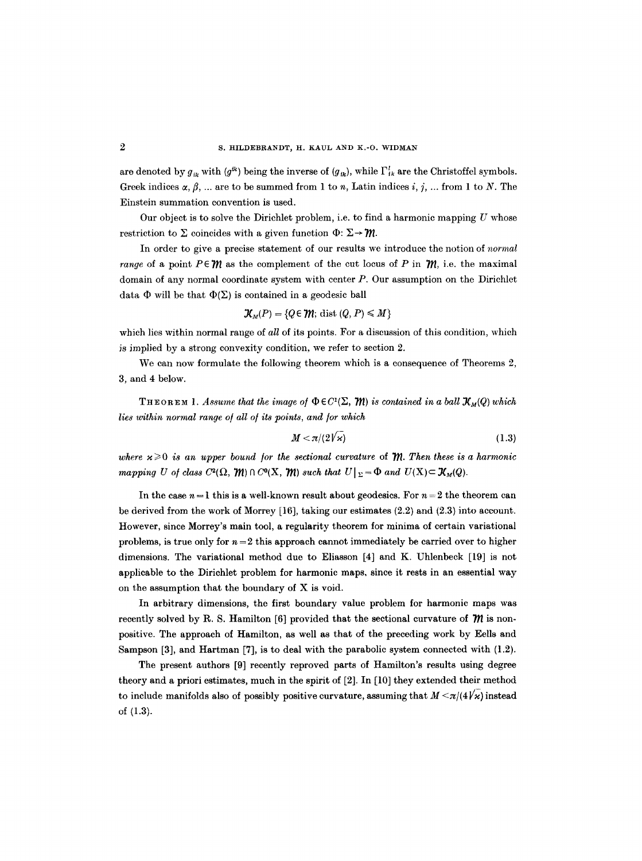are denoted by  $g_{ik}$  with  $(g^{ik})$  being the inverse of  $(g_{ik})$ , while  $\Gamma^l_{ik}$  are the Christoffel symbols. Greek indices  $\alpha, \beta, \ldots$  are to be summed from 1 to n, Latin indices i, j,  $\ldots$  from 1 to N. The Einstein summation convention is used.

Our object is to solve the Dirichlet problem, i.e. to find a harmonic mapping  $U$  whose restriction to  $\Sigma$  coincides with a given function  $\Phi: \Sigma \rightarrow \mathcal{M}$ .

In order to give a precise statement of our results we introduce the notion of *normal range* of a point  $P \in \mathcal{W}$  as the complement of the cut locus of P in  $\mathcal{W}$ , i.e. the maximal domain of any normal coordinate system with center P. Our assumption on the Dirichlet data  $\Phi$  will be that  $\Phi(\Sigma)$  is contained in a geodesic ball

$$
\mathcal{K}_M(P) = \{Q \in \mathcal{W}; \text{ dist } (Q, P) \leq M\}
$$

which lies within normal range of *all* of its points. For a discussion of this condition, which is implied by a strong convexity condition, we refer to section 2.

We can now formulate the following theorem which is a consequence of Theorems 2, 3, and 4 below.

THEOREM 1. Assume that the image of  $\Phi \in C^1(\Sigma, \mathcal{W})$  is contained in a ball  $\mathcal{X}_M(Q)$  which *lies within normal range of all of its points, and for which* 

$$
M < \pi/(2\sqrt{\varkappa}) \tag{1.3}
$$

where  $x \geq 0$  is an upper bound for the sectional curvature of *. Then these is a harmonic mapping U of class C*<sup>2</sup>( $\Omega$ ,  $\mathcal{W}$ )  $\cap$  C<sup>o</sup>(X,  $\mathcal{W}$ ) *such that U*  $|_{\Sigma} = \Phi$  *and U*(X) $\subset \mathcal{K}_M(Q)$ .

In the case  $n = 1$  this is a well-known result about geodesics. For  $n = 2$  the theorem can be derived from the work of Morrey [16], taking our estimates (2.2) and (2.3) into account. However, since Morrey's main tool, a regularity theorem for minima of certain variational problems, is true only for  $n = 2$  this approach cannot immediately be carried over to higher dimensions. The variational method due to Eliasson [4] and K. Uhlenbeck [19] is not applicable to the Diriehlet problem for harmonic maps, since it rests in an essential way on the assumption that the boundary of X is void.

In arbitrary dimensions, the first boundary value problem for harmonic maps was recently solved by R. S. Hamilton [6] provided that the sectional curvature of  *is non*positive. The approach of Hamilton, as well as that of the preceding work by Eells and Sampson [3], and Hartman [7], is to deal with the parabolic system connected with (1.2).

The present authors [9] recently reproved parts of Hamilton's results using degree theory and a priori estimates, much in the spirit of [2]. In [10] they extended their method to include manifolds also of possibly positive curvature, assuming that  $M \leq \pi/(4/\kappa)$  instead of (1.3).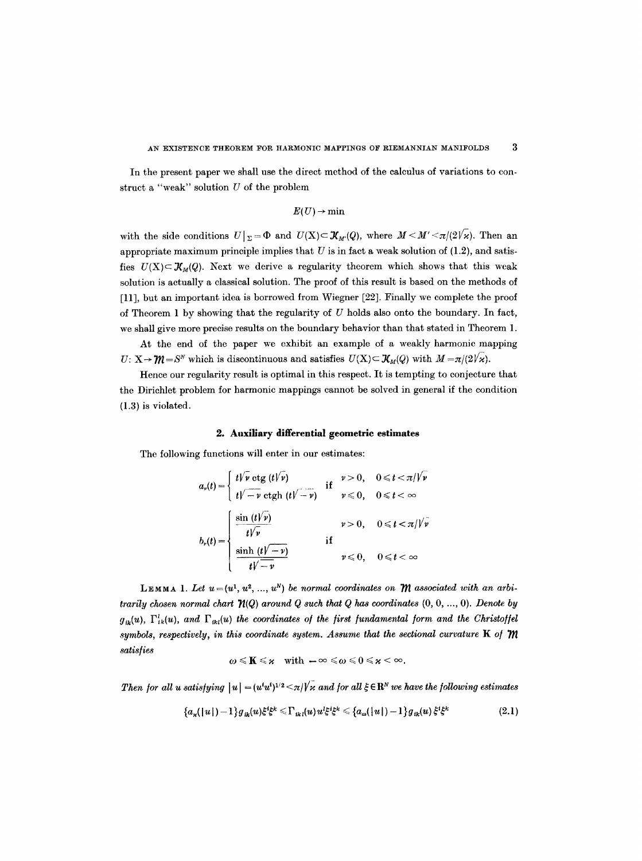In the present paper we shall use the direct method of the calculus of variations to construct a "weak" solution U of the problem

$$
E(U) \to \min
$$

with the side conditions  $U|_{\Sigma}=\Phi$  and  $U(X)\subset \mathcal{X}_{M}(Q)$ , where  $M\leq M'\leq \pi/(2\sqrt{\varkappa})$ . Then an appropriate maximum principle implies that  $U$  is in fact a weak solution of (1.2), and satisfies  $U(X) \subset \mathcal{K}_M(Q)$ . Next we derive a regularity theorem which shows that this weak solution is actually a classical solution. The proof of this result is based on the methods of [11], but an important idea is borrowed from Wiegner [22]. Finally we complete the proof of Theorem 1 by showing that the regularity of  $U$  holds also onto the boundary. In fact, we shall give more precise results on the boundary behavior than that stated in Theorem 1.

At the end of the paper we exhibit an example of a weakly harmonic mapping  $U: X \rightarrow \mathcal{W} = S^N$  which is discontinuous and satisfies  $U(X) \subset \mathcal{X}_{M}(Q)$  with  $M = \pi/(2\gamma \kappa)$ .

Hence our regularity result is optimal in this respect. It is tempting to conjecture that the Dirichlet problem for harmonic mappings cannot be solved in general if the condition (1.3) is violated.

### **2. Auxiliary differential geometric estimates**

The following functions will enter in our estimates:

$$
a_{\nu}(t) = \begin{cases} t/\overline{\nu} \cot(t/\overline{\nu}) & \text{if } \nu > 0, \quad 0 \leq t < \pi/\overline{\nu} \\ t/\overline{-\nu} \cot(t/\overline{-\nu}) & \text{if } \nu \leq 0, \quad 0 \leq t < \infty \end{cases}
$$

$$
b_{\nu}(t) = \begin{cases} \frac{\sin(t/\overline{\nu})}{t/\overline{\nu}} & \nu > 0, \quad 0 \leq t < \pi/\overline{\nu} \\ \frac{\sinh(t/\overline{-\nu})}{t/\overline{-\nu}} & \text{if } \nu \leq 0, \quad 0 \leq t < \infty \end{cases}
$$

LEMMA 1. Let  $u = (u^1, u^2, ..., u^N)$  be normal coordinates on  $\mathcal M$  associated with an arbi*trarily chosen normal chart*  $\mathcal{H}(Q)$  around  $Q$  such that  $Q$  has coordinates  $(0, 0, ..., 0)$ . *Denote by*  $g_{ik}(u)$ ,  $\Gamma_{ik}^l(u)$ , and  $\Gamma_{ikl}(u)$  the coordinates of the first fundamental form and the Christoffel symbols, respectively, in this coordinate system. Assume that the sectional curvature K of  $m$ *satis[ies* 

$$
\omega \leqslant \mathbf{K} \leqslant \varkappa \quad \text{with } -\infty \leqslant \omega \leqslant 0 \leqslant \varkappa < \infty.
$$

*Then for all u satisfying*  $|u| = (u^i u^i)^{1/2} \le \pi/\sqrt{\pi}$  and for all  $\xi \in \mathbb{R}^N$  we have the following estimates

$$
\{a_{\kappa}(|u|)-1\}g_{ik}(u)\xi^{i}\xi^{k}\leq \Gamma_{ik}(u)u^{l}\xi^{i}\xi^{k}\leq \{a_{\omega}(|u|)-1\}g_{ik}(u)\xi^{i}\xi^{k} \qquad (2.1)
$$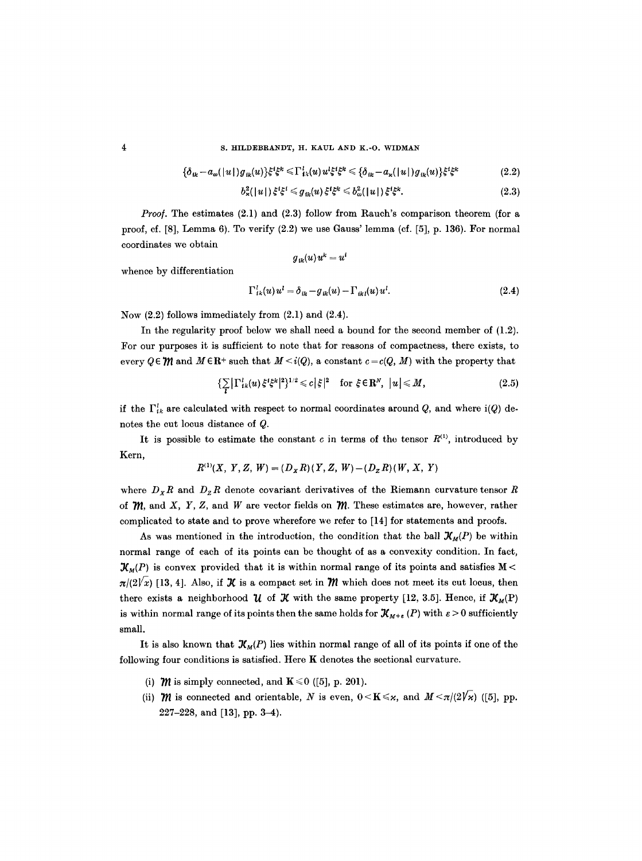## 4 S. HILDEBRANDT, H. KAUL AND K.-O. WIDMAN

$$
\{\delta_{ik} - a_{\omega}(|u|)g_{ik}(u)\}\xi^{i}\xi^{k} \leq \Gamma_{ik}^{l}(u)u^{l}\xi^{i}\xi^{k} \leq \{\delta_{ik} - a_{\kappa}(|u|)g_{ik}(u)\}\xi^{i}\xi^{k} \qquad (2.2)
$$

$$
b_{\varkappa}^{2}(|u|) \xi^{i}\xi^{i} \leqslant g_{ik}(u) \xi^{i}\xi^{k} \leqslant b_{\omega}^{2}(|u|) \xi^{i}\xi^{k}.
$$
 (2.3)

*Proof.* The estimates (2.1) and (2.3) follow from Rauch's comparison theorem (for a proof, cf. [8], Lemma 6). To verify (2.2) we use Gauss' lemma (cf. [5], p. 136). For normal coordinates we obtain

$$
{g}_{\,ik}(u)\,u^k=u^i
$$

whence by differentiation

$$
\Gamma_{ik}^{l}(u)u^{l} = \delta_{ik} - g_{ik}(u) - \Gamma_{ikl}(u)u^{l}.
$$
\n(2.4)

Now (2.2) follows immediately from (2.1) and (2.4).

In the regularity proof below we shall need a bound for the second member of  $(1.2)$ . For our purposes it is sufficient to note that for reasons of compactness, there exists, to every  $Q \in \mathcal{W}$  and  $M \in \mathbb{R}^+$  such that  $M \leq i(Q)$ , a constant  $c = c(Q, M)$  with the property that

$$
\left\{\sum_{i}\left|\Gamma_{ik}^{l}(u)\xi^{i}\xi^{k}\right|^{2}\right\}^{1/2}\leqslant c\left|\xi\right|^{2}\quad\text{for }\xi\in\mathbf{R}^{N},\ \left|u\right|\leqslant M,\tag{2.5}
$$

if the  $\Gamma^l_{ik}$  are calculated with respect to normal coordinates around Q, and where i(Q) denotes the cut locus distance of Q.

It is possible to estimate the constant c in terms of the tensor  $R^{(1)}$ , introduced by Kern,

$$
R^{(1)}(X, Y, Z, W) = (D_X R)(Y, Z, W) - (D_Z R)(W, X, Y)
$$

where  $D_x R$  and  $D_z R$  denote covariant derivatives of the Riemann curvature tensor R of *, and X, Y, Z, and W are vector fields on*  $*m*$ *. These estimates are, however, rather* complicated to state and to prove wherefore we refer to [14] for statements and proofs.

As was mentioned in the introduction, the condition that the ball  $\mathcal{X}_{M}(P)$  be within normal range of each of its points can be thought of as a convexity condition. In fact,  $\mathcal{K}_M(P)$  is convex provided that it is within normal range of its points and satisfies M <  $\pi/(2\gamma x)$  [13, 4]. Also, if  $\mathcal X$  is a compact set in  $\mathcal M$  which does not meet its cut locus, then there exists a neighborhood  $\mathcal{U}$  of  $\mathcal{K}$  with the same property [12, 3.5]. Hence, if  $\mathcal{K}_M(P)$ is within normal range of its points then the same holds for  $\mathcal{X}_{M+\epsilon}(P)$  with  $\epsilon > 0$  sufficiently small.

It is also known that  $\mathcal{X}_M(P)$  lies within normal range of all of its points if one of the following four conditions is satisfied. Here K denotes the sectional curvature.

- (i) *M* is simply connected, and  $\mathbf{K} \le 0$  ([5], p. 201).
- (ii)  $\mathcal{W}$  is connected and orientable, N is even,  $0 \le K \le \kappa$ , and  $M \le \pi/(2\sqrt{\kappa})$  ([5], pp. 227-228, and [13], pp. 3-4).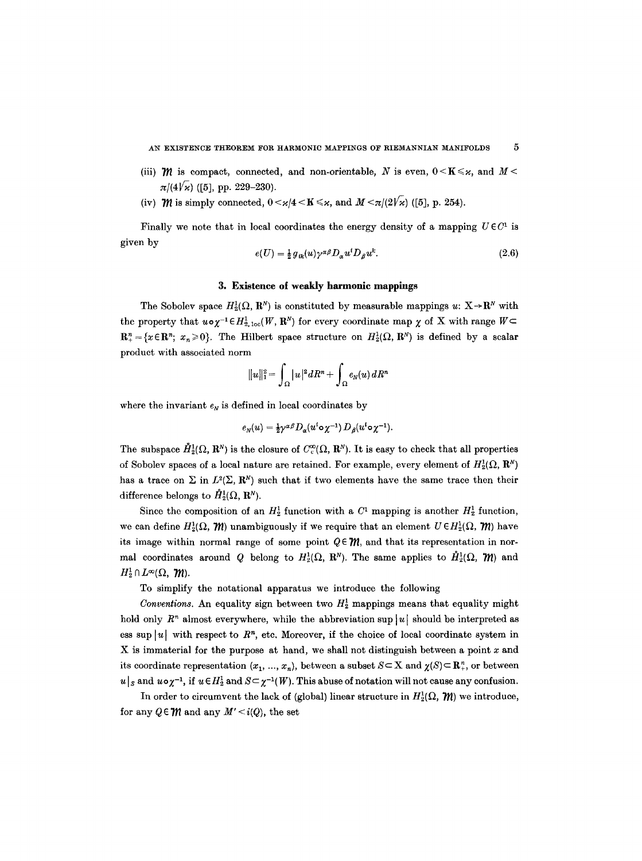AN EXISTENCE THEOREM FOR HARMONIC MAPPINGS OF RIEMANNIAN MANIFOLDS  $5$ 

- (iii)  $\mathcal{W}$  is compact, connected, and non-orientable, N is even,  $0 \le K \le \kappa$ , and  $M \le$  $\pi/(4\sqrt{\varkappa})$  ([5], pp. 229–230).
- (iv) *M* is simply connected,  $0 < \varkappa/4 < K \leq \varkappa$ , and  $M < \pi/(2\sqrt{\varkappa})$  ([5], p. 254).

Finally we note that in local coordinates the energy density of a mapping  $U \in C^1$  is given by

$$
e(U) = \frac{1}{2} g_{ik}(u) \gamma^{\alpha\beta} D_{\alpha} u^{i} D_{\beta} u^{k}.
$$
\n(2.6)

# 3. Existence of weakly harmonic **mappings**

The Sobolev space  $H_2^1(\Omega, \mathbb{R}^N)$  is constituted by measurable mappings  $u: X \rightarrow \mathbb{R}^N$  with the property that  $u \circ \chi^{-1} \in H_{2, \text{loc}}^1(W, \mathbb{R}^N)$  for every coordinate map  $\chi$  of X with range  $W \subset$  $\mathbb{R}^n_+=\{x\in\mathbb{R}^n;~x_n\geqslant 0\}.$  The Hilbert space structure on  $H_2^1(\Omega,\,\mathbb{R}^N)$  is defined by a scalar product with associated norm

$$
||u||_1^2 = \int_{\Omega} |u|^2 dR^n + \int_{\Omega} e_N(u) dR^n
$$

where the invariant  $e_N$  is defined in local coordinates by

$$
e_N(u) = \frac{1}{2} \gamma^{\alpha \beta} D_{\alpha}(u^i \circ \chi^{-1}) D_{\beta}(u^i \circ \chi^{-1}).
$$

The subspace  $\mathring{H}^1_2(\Omega, \mathbb{R}^N)$  is the closure of  $C_c^{\infty}(\Omega, \mathbb{R}^N)$ . It is easy to check that all properties of Sobolev spaces of a local nature are retained. For example, every element of  $H_2^1(\Omega, \mathbf{R}^N)$ has a trace on  $\Sigma$  in  $L^2(\Sigma, \mathbb{R}^N)$  such that if two elements have the same trace then their difference belongs to  $\mathring{H}_2^1(\Omega, \mathbb{R}^N)$ .

Since the composition of an  $H_2^1$  function with a  $C^1$  mapping is another  $H_2^1$  function, we can define  $H_2^1(\Omega, \mathcal{W})$  unambiguously if we require that an element  $U \in H_2^1(\Omega, \mathcal{W})$  have its image within normal range of some point  $Q \in \mathcal{M}$ , and that its representation in normal coordinates around Q belong to  $H_2^1(\Omega, \mathbb{R}^N)$ . The same applies to  $\mathring{H}_2^1(\Omega, \mathcal{W})$  and  $H_2^1 \cap L^{\infty}(\Omega,~\mathcal{W}).$ 

To simplify the notational apparatus we introduce the following

*Conventions.* An equality sign between two  $H_2^1$  mappings means that equality might hold only  $R<sup>n</sup>$  almost everywhere, while the abbreviation sup |u| should be interpreted as ess sup |u| with respect to  $R^n$ , etc. Moreover, if the choice of local coordinate system in X is immaterial for the purpose at hand, we shall not distinguish between a point  $x$  and its coordinate representation  $(x_1, ..., x_n)$ , between a subset  $S \subset X$  and  $\chi(S) \subset \mathbb{R}^n_+$ , or between  $u|_{S}$  and  $u \circ \chi^{-1}$ , if  $u \in H_2^1$  and  $S \subset \chi^{-1}(W)$ . This abuse of notation will not cause any confusion.

In order to circumvent the lack of (global) linear structure in  $H_2^1(\Omega, \mathcal{W})$  we introduce, for any  $Q \in \mathcal{W}$  and any  $M' \leq i(Q)$ , the set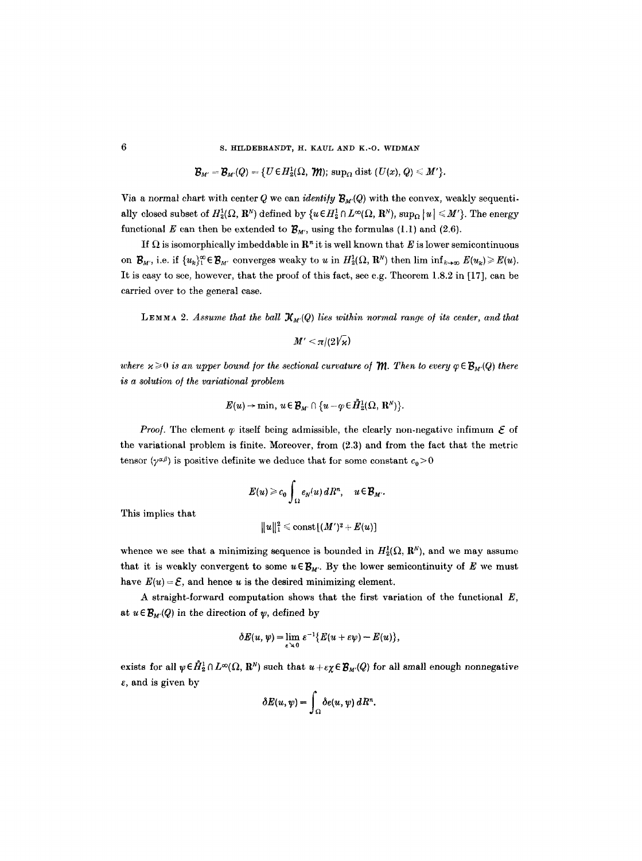#### S. HILDEBRANDT, H. KAUL AND K.-O. WIDMAN

 $\mathcal{B}_{M'} = \mathcal{B}_{M'}(Q) = \{U \in H^1_2(\Omega, \mathcal{W}); \text{sup}_\Omega \text{ dist } (U(x), Q) \leq M'\}.$ 

Via a normal chart with center Q we can *identify*  $\mathcal{B}_{M}(Q)$  with the convex, weakly sequentially closed subset of  $H_2^1(\Omega, \mathbb{R}^N)$  defined by  $\{u \in H_2^1 \cap L^{\infty}(\Omega, \mathbb{R}^N), \sup_{\Omega} |u| \leq M'\}.$  The energy functional E can then be extended to  $\mathcal{B}_{M'}$ , using the formulas (1.1) and (2.6).

If  $\Omega$  is isomorphically imbeddable in  $\mathbb{R}^n$  it is well known that E is lower semicontinuous on  $\mathcal{B}_{M'}$ , i.e. if  $\{u_k\}_{1}^{\infty} \in \mathcal{B}_{M'}$  converges weaky to u in  $H_2^1(\Omega, \mathbb{R}^N)$  then lim inf $\{u_{k\to\infty} E(u_k) \geq E(u)$ . It is easy to see, however, that the proof of this fact, see e.g. Theorem 1.8.2 in [17], can be carried over to the general case.

LEMMA 2. Assume that the ball  $\mathcal{K}_{M'}(Q)$  lies within normal range of its center, and that

 $M' \leq \pi/(2\sqrt{\kappa})$ 

*where*  $x \ge 0$  *is an upper bound for the sectional curvature of*  $\mathcal{M}$ *. Then to every*  $\varphi \in \mathcal{B}_M(Q)$  *there is a solution o] the variational problem* 

$$
E(u) \to \min, u \in \mathcal{B}_{M'} \cap \{u - \varphi \in H_2^1(\Omega, \mathbb{R}^N)\}.
$$

*Proof.* The element  $\varphi$  itself being admissible, the clearly non-negative infimum  $\mathcal E$  of the variational problem is finite. Moreover, from (2.3) and from the fact that the metric tensor  $(\gamma^{\alpha\beta})$  is positive definite we deduce that for some constant  $c_0 > 0$ 

$$
E(u) \geq c_0 \int_{\Omega} e_N(u) dR^n, \quad u \in \mathcal{B}_{M'}.
$$

This implies that

$$
||u||_1^2 \leqslant \mathrm{const}[(M')^2 + E(u)]
$$

whence we see that a minimizing sequence is bounded in  $H_2^1(\Omega, \mathbb{R}^N)$ , and we may assume that it is weakly convergent to some  $u \in \mathcal{B}_{M}$ . By the lower semicontinuity of E we must have  $E(u) = \mathcal{E}$ , and hence u is the desired minimizing element.

A straight-forward computation shows that the first variation of the functional  $E$ , at  $u \in \mathcal{B}_{M'}(Q)$  in the direction of  $\psi$ , defined by

$$
\delta E(u, \psi) = \lim_{\varepsilon \to 0} \varepsilon^{-1} \{ E(u + \varepsilon \psi) - E(u) \},\
$$

exists for all  $\psi \in \hat{H}_2^1 \cap L^{\infty}(\Omega, \mathbb{R}^N)$  such that  $u + \epsilon \chi \in \mathcal{B}_{M'}(Q)$  for all small enough nonnegative  $\varepsilon$ , and is given by

$$
\delta E(u, \psi) = \int_{\Omega} \delta e(u, \psi) \, dR^n.
$$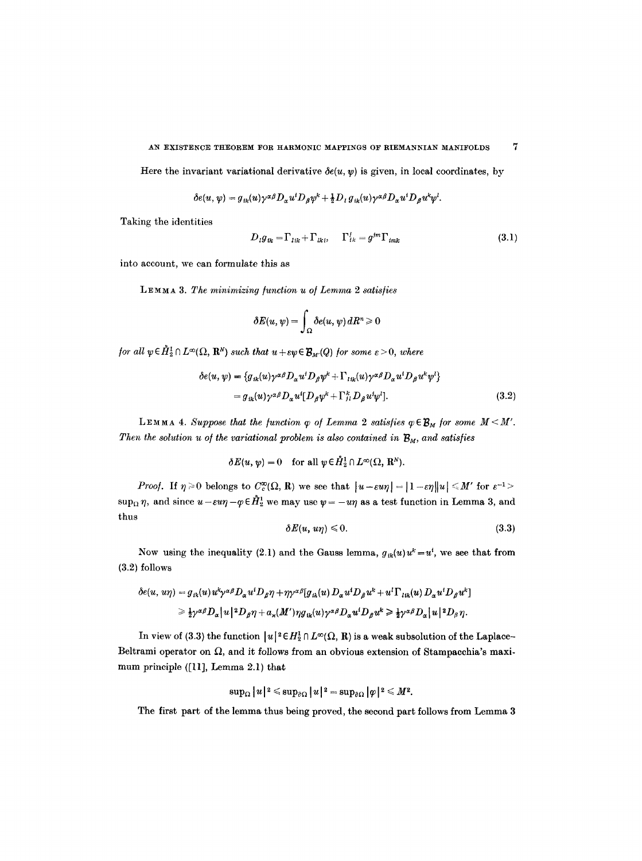AN EXISTENCE THEOREM FOR HARMONIC MAPPINGS OF RIEMANNIAN MANIFOLDS 7

Here the invariant variational derivative  $\delta e(u, v)$  is given, in local coordinates, by

$$
\delta e(u, \psi) = g_{ik}(u) \gamma^{\alpha \beta} D_{\alpha} u^i D_{\beta} \psi^k + \frac{1}{2} D_{il} g_{ik}(u) \gamma^{\alpha \beta} D_{\alpha} u^i D_{\beta} u^k \psi^l.
$$

Taking the identities

$$
D_{l}g_{lk} = \Gamma_{lik} + \Gamma_{lkl}, \quad \Gamma_{lk}^{j} = g^{lm} \Gamma_{imk}
$$
\n(3.1)

into account, we can formulate this as

LEMMA 3. The minimizing function u of Lemma 2 satisfies

$$
\delta E(u,\psi)=\int_{\Omega}\delta e(u,\psi)\,dR^n\geqslant 0
$$

*for all*  $\psi \in \mathring{H}_2^1 \cap L^{\infty}(\Omega, \mathbb{R}^N)$  *such that*  $u + \varepsilon \psi \in \mathcal{B}_M(Q)$  *for some*  $\varepsilon > 0$ *, where* 

$$
\delta e(u, \psi) = \{g_{ik}(u)\gamma^{\alpha\beta}D_{\alpha}u^{i}D_{\beta}\psi^{k} + \Gamma_{lik}(u)\gamma^{\alpha\beta}D_{\alpha}u^{i}D_{\beta}u^{k}\psi^{l}\}
$$
  
=  $g_{ik}(u)\gamma^{\alpha\beta}D_{\alpha}u^{i}[D_{\beta}\psi^{k} + \Gamma_{jl}^{k}D_{\beta}u^{l}\psi^{l}].$  (3.2)

**LEMMA 4.** Suppose that the function  $\varphi$  of Lemma 2 satisfies  $\varphi \in \mathcal{B}_M$  for some  $M \leq M'$ . *Then the solution u of the variational problem is also contained in*  $B_M$ , and satisfies

$$
\delta E(u, \psi) = 0 \quad \text{for all } \psi \in \mathring{H}_2^1 \cap L^{\infty}(\Omega, \mathbb{R}^N).
$$

*Proof.* If  $\eta \ge 0$  belongs to  $C_c^{\infty}(\Omega, R)$  we see that  $|u-\varepsilon u\eta|=|1-\varepsilon\eta||u| \le M'$  for  $\varepsilon^{-1}$  $\sup_{\Omega} \eta$ , and since  $u-\epsilon u\eta-\varphi \in \mathring{H}_2^1$  we may use  $\psi = -u\eta$  as a test function in Lemma 3, and thus

$$
\delta E(u, u\eta) \leq 0. \tag{3.3}
$$

Now using the inequality (2.1) and the Gauss lemma,  $g_{ik}(u)u^k=u^i$ , we see that from (3.2) follows

$$
\begin{aligned} \delta e(u, \, u\eta) &= g_{ik}(u) \, u^k \gamma^{\alpha\beta} D_\alpha u^i D_\beta \eta + \eta \gamma^{\alpha\beta} [g_{ik}(u) \, D_\alpha u^i D_\beta u^k + u^l \, \Gamma_{lik}(u) \, D_\alpha u^i D_\beta u^k] \\ &\geqslant \frac{1}{2} \gamma^{\alpha\beta} D_\alpha \big| u \big|^{2} D_\beta \eta + a_\kappa (M') \eta g_{ik}(u) \gamma^{\alpha\beta} D_\alpha u^i D_\beta u^k \geqslant \frac{1}{2} \gamma^{\alpha\beta} D_\alpha \big| u \big|^{2} D_\beta \eta. \end{aligned}
$$

In view of (3.3) the function  $|u|^2 \in H_2^1 \cap L^{\infty}(\Omega, R)$  is a weak subsolution of the Laplace-Beltrami operator on  $\Omega$ , and it follows from an obvious extension of Stampacchia's maximum principle ([11], Lemma 2.1) that

$$
\sup\nolimits_{\Omega}|u|^2 \leqslant \sup\nolimits_{\partial\Omega}|u|^2 = \sup\nolimits_{\partial\Omega}|\varphi|^2 \leqslant M^2.
$$

The first part of the lemma thus being proved, the second part follows from Lemma 3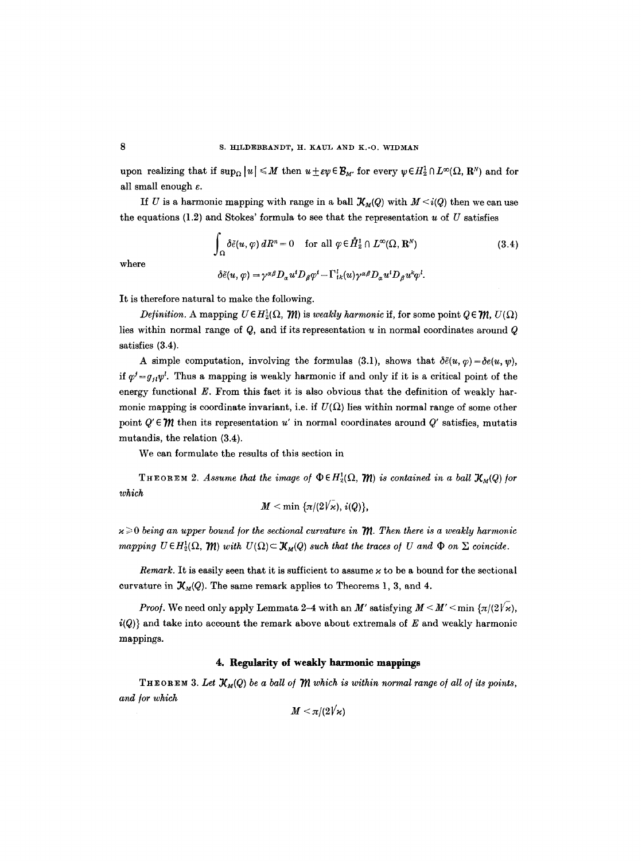upon realizing that if  $\sup_{\Omega} |u| \leq M$  then  $u \pm \varepsilon \psi \in \mathcal{B}_{M'}$  for every  $\psi \in H_2^1 \cap L^{\infty}(\Omega, \mathbb{R}^N)$  and for all small enough  $\varepsilon$ .

If U is a harmonic mapping with range in a ball  $\mathcal{X}_M(Q)$  with  $M \leq i(Q)$  then we can use the equations  $(1.2)$  and Stokes' formula to see that the representation u of U satisfies

$$
\int_{\Omega} \delta \tilde{e}(u, \varphi) dR^{n} = 0 \quad \text{for all } \varphi \in \mathring{H}_{2}^{1} \cap L^{\infty}(\Omega, \mathbf{R}^{N})
$$
\n
$$
\delta \tilde{e}(u, \varphi) = \gamma^{\alpha \beta} D_{\alpha} u^{i} D_{\beta} \varphi^{i} - \Gamma_{ik}^{i}(u) \gamma^{\alpha \beta} D_{\alpha} u^{i} D_{\beta} u^{k} \varphi^{l}.
$$
\n(3.4)

where

$$
o\in(u,\psi)=\gamma\stackrel{\sim}{\sim}\mathcal{D}_\alpha u\mathcal{D}_\beta\psi=\mathbf{1}_{\{k\}}(u)\gamma\stackrel{\sim}{\sim}\mathcal{D}_\alpha u
$$

It is therefore natural to make the following.

*Definition.* A mapping  $U \in H_2^1(\Omega, \mathcal{W})$  is *weakly harmonic* if, for some point  $Q \in \mathcal{W}$ ,  $U(\Omega)$ lies within normal range of  $Q$ , and if its representation  $u$  in normal coordinates around  $Q$ satisfies (3.4).

A simple computation, involving the formulas (3.1), shows that  $\delta \tilde{e}(u, \varphi) = \delta e(u, \psi)$ , if  $\varphi' = g_{ij}\psi'$ . Thus a mapping is weakly harmonic if and only if it is a critical point of the energy functional  $E$ . From this fact it is also obvious that the definition of weakly harmonic mapping is coordinate invariant, i.e. if  $U(\Omega)$  lies within normal range of some other point  $Q' \in \mathcal{W}$  then its representation u' in normal coordinates around  $Q'$  satisfies, mutatis mutandis, the relation (3.4).

We can formulate the results of this section in

THEOREM 2. Assume that the image of  $\Phi \in H_2^1(\Omega, \mathcal{W})$  is contained in a ball  $\mathcal{X}_M(Q)$  for *which* 

$$
M < \min \left\{ \frac{\pi}{2V\varkappa}, i(Q) \right\},\
$$

 $x \geq 0$  being an upper bound for the sectional curvature in  $m$ . Then there is a weakly harmonic *mapping*  $U \in H_2^1(\Omega, \mathcal{W})$  *with*  $U(\Omega) \subset \mathcal{X}_M(Q)$  *such that the traces of U and*  $\Phi$  *on*  $\Sigma$  *coincide.* 

*Remark.* It is easily seen that it is sufficient to assume  $\varkappa$  to be a bound for the sectional curvature in  $\mathcal{K}_M(Q)$ . The same remark applies to Theorems 1, 3, and 4.

*Proof.* We need only apply Lemmata 2-4 with an M' satisfying  $M < M' < \min \{ \pi/(2 \sqrt{x})$ ,  $i(Q)$  and take into account the remark above about extremals of E and weakly harmonic mappings.

## **4. Regularity of weakly harmonic mappings**

THEOREM 3. Let  $\mathcal{X}_M(Q)$  be a ball of  $\mathcal M$  which is within normal range of all of its points, and for which

 $M < \pi/(2\sqrt{\varkappa})$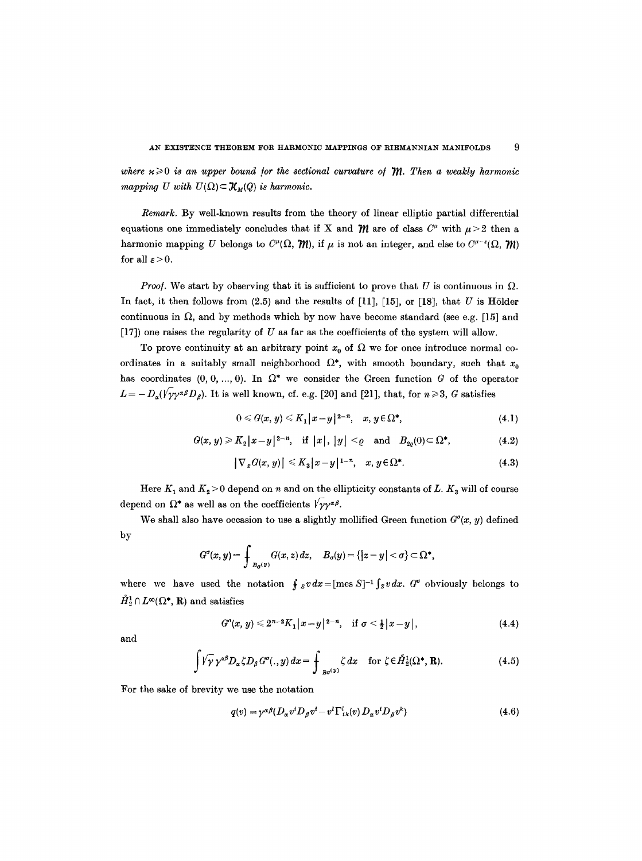where  $x \geq 0$  is an upper bound for the sectional curvature of  $m$ . Then a weakly harmonic *mapping U with*  $U(\Omega) \subset \mathcal{K}_M(Q)$  *is harmonic.* 

*Remark.* By well-known results from the theory of linear elliptic partial differential equations one immediately concludes that if X and  $\mathcal{W}$  are of class  $C^{\mu}$  with  $\mu > 2$  then a harmonic mapping U belongs to  $C^{\mu}(\Omega, \mathcal{W})$ , if  $\mu$  is not an integer, and else to  $C^{\mu-\epsilon}(\Omega, \mathcal{W})$ for all  $\varepsilon > 0$ .

*Proof.* We start by observing that it is sufficient to prove that U is continuous in  $\Omega$ . In fact, it then follows from  $(2.5)$  and the results of [11], [15], or [18], that U is Hölder continuous in  $\Omega$ , and by methods which by now have become standard (see e.g. [15] and [17]) one raises the regularity of U as far as the coefficients of the system will allow.

To prove continuity at an arbitrary point  $x_0$  of  $\Omega$  we for once introduce normal coordinates in a suitably small neighborhood  $\Omega^*$ , with smooth boundary, such that  $x_0$ has coordinates  $(0, 0, ..., 0)$ . In  $\Omega^*$  we consider the Green function G of the operator  $L = -D_{\alpha}(V \gamma \gamma^{\alpha \beta} D_{\beta})$ . It is well known, cf. e.g. [20] and [21], that, for  $n \geq 3$ , G satisfies

$$
0 \leq G(x, y) \leq K_1 |x-y|^{2-n}, \quad x, y \in \Omega^*, \tag{4.1}
$$

$$
G(x, y) \geqslant K_2 |x - y|^{2 - n}, \quad \text{if } |x|, |y| < \varrho \quad \text{and} \quad B_{2\varrho}(0) \subset \Omega^*, \tag{4.2}
$$

$$
\left|\nabla_x G(x,y)\right| \leqslant K_3 |x-y|^{1-n}, \quad x, y \in \Omega^*.
$$
\n
$$
(4.3)
$$

Here  $K_1$  and  $K_2 > 0$  depend on n and on the ellipticity constants of L.  $K_3$  will of course depend on  $\Omega^*$  as well as on the coefficients  $\sqrt{\gamma} \gamma^{\alpha \beta}$ .

We shall also have occasion to use a slightly mollified Green function  $G^{\sigma}(x, y)$  defined by

$$
G^{\sigma}(x,y)=\int_{B_{\sigma}(y)}G(x,z)\,dz,\quad B_{\sigma}(y)=\{|z-y|<\sigma\}\subset\Omega^*,
$$

where we have used the notation  $\int_{S} v dx = [\text{mes } S]^{-1} \int_{S} v dx$ . G<sup>o</sup> obviously belongs to  $\mathring{H}_2^1 \cap L^{\infty}(\Omega^*, \mathbb{R})$  and satisfies

$$
G^{\sigma}(x, y) \leq 2^{n-2} K_1 |x-y|^{2-n}, \quad \text{if } \sigma \leq \frac{1}{2} |x-y|,
$$
 (4.4)

and

$$
\int \sqrt{\gamma} \gamma^{\alpha\beta} D_{\alpha} \zeta D_{\beta} G^{\sigma} (.,y) dx = \int_{B\sigma^{(y)}} \zeta dx \quad \text{for } \zeta \in \tilde{H}_2^1(\Omega^*, \mathbf{R}). \tag{4.5}
$$

For the sake of brevity we use the notation

$$
q(v) = \gamma^{\alpha\beta} (D_{\alpha} v^i D_{\beta} v^i - v^l \Gamma^l_{ik}(v) D_{\alpha} v^i D_{\beta} v^k)
$$
\n(4.6)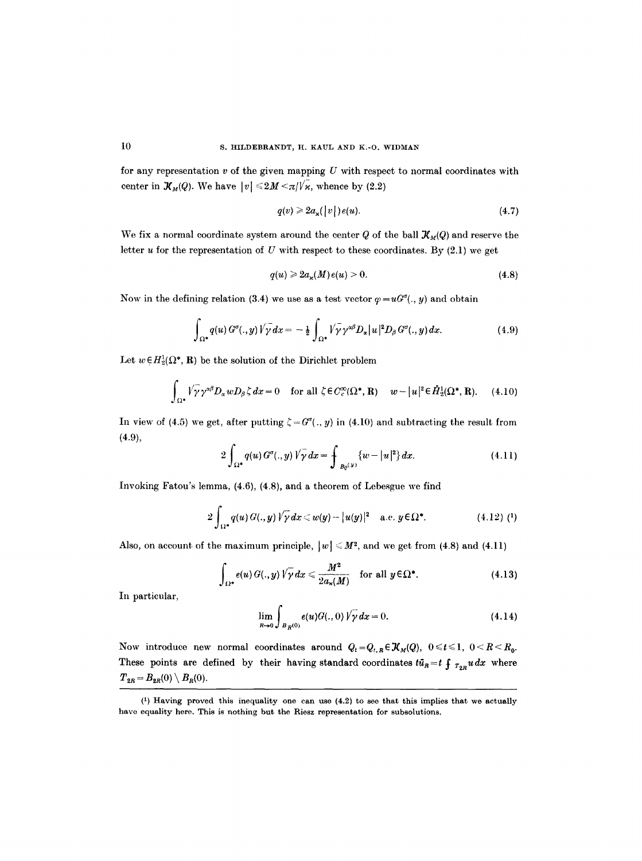for any representation  $v$  of the given mapping  $U$  with respect to normal coordinates with center in  $\mathcal{K}_M(Q)$ . We have  $|v| \le 2M \le \pi/\sqrt{\kappa}$ , whence by (2.2)

$$
q(v) \geq 2a_x(|v|)e(u). \tag{4.7}
$$

We fix a normal coordinate system around the center Q of the ball  $\mathcal{X}_{M}(Q)$  and reserve the letter  $u$  for the representation of  $U$  with respect to these coordinates. By (2.1) we get

$$
q(u) \geqslant 2a_{\varkappa}(M)e(u) > 0. \tag{4.8}
$$

Now in the defining relation (3.4) we use as a test vector  $\varphi = uG^{\sigma}(. , y)$  and obtain

$$
\int_{\Omega^*} q(u) G^{\sigma} (.,y) \sqrt{\gamma} dx = -\frac{1}{2} \int_{\Omega^*} \sqrt{\gamma} \gamma^{\alpha \beta} D_{\alpha} |u|^2 D_{\beta} G^{\sigma} (.,y) dx. \tag{4.9}
$$

Let  $w \in H_2^1(\Omega^*, \mathbf{R})$  be the solution of the Dirichlet problem

$$
\int_{\Omega^*} \sqrt{\gamma} \gamma^{\alpha \beta} D_{\alpha} w D_{\beta} \zeta dx = 0 \quad \text{for all } \zeta \in C_c^{\infty}(\Omega^*, \mathbf{R}) \quad w - |u|^2 \in \mathring{H}_2^1(\Omega^*, \mathbf{R}). \tag{4.10}
$$

In view of (4.5) we get, after putting  $\zeta = G^{\sigma}(\cdot, y)$  in (4.10) and subtracting the result from  $(4.9),$ 

$$
2\int_{\Omega^*} q(u) G^{\sigma} (.,y) \sqrt{\gamma} \, dx = \int_{B_0(y)} \{w - |u|^2\} \, dx. \tag{4.11}
$$

Invoking Fatou's lemma, (4.6), (4.8), and a theorem of Lebesgue we find

$$
2\int_{\Omega^*} q(u) G(.,y) \sqrt{\gamma} dx \leq w(y) - |u(y)|^2 \quad \text{a.e. } y \in \Omega^*.
$$
 (4.12) (1)

Also, on account of the maximum principle,  $|w| \le M^2$ , and we get from (4.8) and (4.11)

$$
\int_{\Omega^*} e(u) G(.,y) \sqrt{\gamma} dx \leq \frac{M^2}{2a_\star(M)} \quad \text{for all } y \in \Omega^*.
$$
 (4.13)

In particular,

$$
\lim_{R \to 0} \int_{B_R(0)} e(u) G(., 0) \sqrt{\gamma} dx = 0.
$$
 (4.14)

Now introduce new normal coordinates around  $Q_t = Q_{t,R} \in \mathcal{K}_M(Q)$ ,  $0 \leqslant t \leqslant 1$ ,  $0 \leqslant R \leqslant R_0$ . These points are defined by their having standard coordinates  $t\bar{u}_R = t f_{T_{2D}} u dx$  where  $T_{2R} = B_{2R}(0) \setminus B_{R}(0).$ 

 $(1)$  Having proved this inequality one can use  $(4.2)$  to see that this implies that we actually have equality here. This is nothing but the Riesz representation for subsolutions.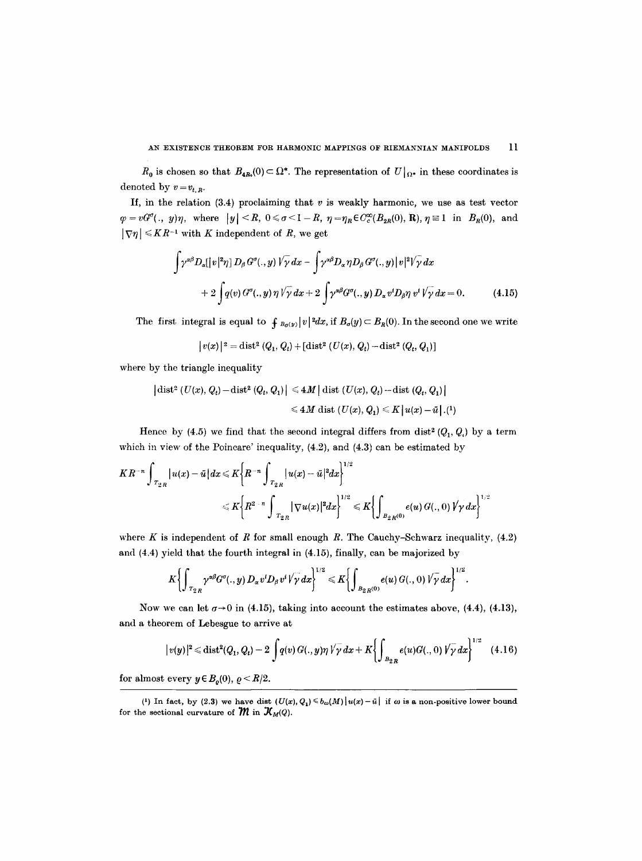$R_0$  is chosen so that  $B_{4R_0}(0) \subset \Omega^*$ . The representation of  $U|_{\Omega^*}$  in these coordinates is denoted by  $v = v_{t,R}$ .

If, in the relation  $(3.4)$  proclaiming that v is weakly harmonic, we use as test vector  $\varphi=vG^{\sigma}(\cdot, y)\eta$ , where  $|y|,  $0\leq \sigma<1-R$ ,  $\eta=\eta_R\in C_c^{\infty}(B_{2R}(0), R)$ ,  $\eta\equiv 1$  in  $B_R(0)$ , and$  $|\nabla \eta| \leqslant K R^{-1}$  with K independent of R, we get

$$
\int \gamma^{\alpha\beta} D_{\alpha}[[v|^2 \eta] D_{\beta} G^{\sigma}(.,y) \sqrt{\gamma} dx - \int \gamma^{\alpha\beta} D_{\alpha} \eta D_{\beta} G^{\sigma}(.,y) |v|^2 \sqrt{\gamma} dx + 2 \int q(v) G^{\sigma}(.,y) \eta \sqrt{\gamma} dx + 2 \int \gamma^{\alpha\beta} G^{\sigma}(.,y) D_{\alpha} v^i D_{\beta} \eta v^i \sqrt{\gamma} dx = 0.
$$
 (4.15)

The first integral is equal to  $\int_{B_{\sigma}(y)} |v|^2 dx$ , if  $B_{\sigma}(y) \subset B_R(0)$ . In the second one we write

$$
\big|v(x)\big|^2 = \mathop\mathrm{dist}\nolimits^2\left(Q_1,Q_t\right) + \left[ \mathop\mathrm{dist}\nolimits^2\left(U(x),Q_t\right) - \mathop\mathrm{dist}\nolimits^2\left(Q_t,Q_1\right) \right]
$$

where by the triangle inequality

$$
\begin{aligned} \left| \operatorname{dist}^2 \left( U(x), Q_t \right) - \operatorname{dist}^2 \left( Q_t, Q_1 \right) \right| &\leq 4M \left| \operatorname{dist} \left( U(x), Q_t \right) - \operatorname{dist} \left( Q_t, Q_1 \right) \right| \\ &\leq 4M \operatorname{dist} \left( U(x), Q_1 \right) \leq K \left| u(x) - \bar{u} \right|. \end{aligned}
$$

Hence by (4.5) we find that the second integral differs from dist<sup>2</sup>  $(Q_1, Q_1)$  by a term which in view of the Poincare' inequality,  $(4.2)$ , and  $(4.3)$  can be estimated by

$$
KR^{-n}\int_{|T_{2R}}|u(x)-\bar{u}|dx\leqslant K\bigg\{R^{-n}\int_{|T_{2R}}|u(x)-\bar{u}|^2dx\bigg\}^{1/2}\\ \leqslant K\bigg\{R^{2-n}\int_{|T_{2R}}|\nabla u(x)|^2dx\bigg\}^{1/2}\leqslant K\bigg\{\int_{|B_{2R}(0)}e(u)\,G(.,\,0)\,V\gamma\,dx\bigg\}^{1/2}
$$

where K is independent of R for small enough R. The Cauchy-Schwarz inequality,  $(4.2)$ and (4.4) yield that the fourth integral in (4.15), finally, can be majorized by

$$
K\bigg\{\int_{T_{2R}}\gamma^{\alpha\beta}G^{\sigma}(.,y)\,D_{\alpha}v^{t}D_{\beta}v^{t}\sqrt{\gamma}\,dx\bigg\}^{1/2}\leqslant K\bigg\{\int_{B_{2R}(0)}e(u)\,G(.,0)\,\sqrt{\gamma}\,dx\bigg\}^{1/2}.
$$

Now we can let  $\sigma \rightarrow 0$  in (4.15), taking into account the estimates above, (4.4), (4.13), and a theorem of Lebesgue to arrive at

$$
|v(y)|^2 \leq \text{dist}^2(Q_1, Q_t) - 2 \int q(v) G(.,y) \eta \sqrt{\gamma} \, dx + K \bigg\{ \int_{B_{2R}} e(u) G(.,0) \sqrt{\gamma} \, dx \bigg\}^{1/2} \tag{4.16}
$$

for almost every  $y \in B_o(0)$ ,  $\rho < R/2$ .

<sup>(4)</sup> In fact, by (2.3) we have dist  $(U(x), Q_1) \le b_{\omega}(M) |u(x) - \bar{u}|$  if  $\omega$  is a non-positive lower bound for the sectional curvature of  $\mathcal{W}$  in  $\mathcal{X}_{M}(Q)$ .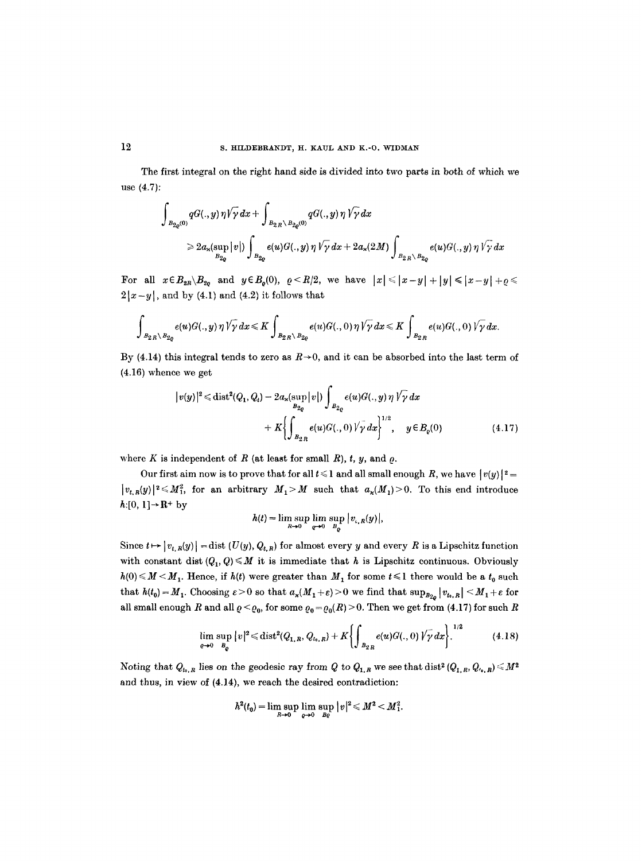The first integral on the right hand side is divided into two parts in both of which we use (4.7):

$$
\int_{B_{2\varrho}(0)} qG(.,y)\,\eta\sqrt{\gamma}\,dx + \int_{B_{2R}\setminus B_{2\varrho}(0)} qG(.,y)\,\eta\sqrt{\gamma}\,dx
$$
\n
$$
\geq 2a_{\varkappa}(\sup_{B_{2\varrho}}|v|)\int_{B_{2\varrho}} e(u)G(.,y)\,\eta\sqrt{\gamma}\,dx + 2a_{\varkappa}(2M)\int_{B_{2R}\setminus B_{2\varrho}} e(u)G(.,y)\,\eta\sqrt{\gamma}\,dx
$$

For all  $x \in B_{2R} \setminus B_{2q}$  and  $y \in B_q(0)$ ,  $\varrho \leq R/2$ , we have  $|x| \leq |x-y| + |y| \leq |x-y| + \varrho \leq R/2$ .  $2|x-y|$ , and by (4.1) and (4.2) it follows that

$$
\int_{B_{2R}\setminus B_{2\varrho}}e(u)G(.,y)\,\eta\sqrt{\gamma}\,dx\leqslant K\int_{B_{2R}\setminus B_{2\varrho}}e(u)G(.,0)\,\eta\sqrt{\gamma}\,dx\leqslant K\int_{B_{2R}}e(u)G(.,0)\,\sqrt{\gamma}\,dx.
$$

By (4.14) this integral tends to zero as  $R\rightarrow 0$ , and it can be absorbed into the last term of (4.16) whence we get

$$
|v(y)|^2 \le \text{dist}^2(Q_1, Q_t) - 2a_x(\sup_{B_{2Q}} |v|) \int_{B_{2Q}} e(u)G(.,y) \, \eta \, \sqrt{\gamma} \, dx + K \left\{ \int_{B_{2R}} e(u)G(.,0) \, \sqrt{\gamma} \, dx \right\}^{1/2}, \quad y \in B_{\varrho}(0)
$$
(4.17)

where K is independent of R (at least for small R),  $t, y$ , and  $\rho$ .

Our first aim now is to prove that for all  $t \leq 1$  and all small enough R, we have  $|v(y)|^2 =$  $|v_{t,R}(y)|^2 \leq M_1^2$ , for an arbitrary  $M_1 > M$  such that  $a_x(M_1) > 0$ . To this end introduce  $h:[0, 1] \rightarrow \mathbb{R}^+$  by

$$
h(t)=\limsup_{R\to 0}\limsup_{q\to 0}\frac{1}{B_q}\big|v_{\iota,R}(y)\big|,
$$

Since  $t \mapsto |v_{t,R}(y)| = \text{dist}(U(y), Q_{t,R})$  for almost every y and every R is a Lipschitz function with constant dist  $(Q_1, Q) \leq M$  it is immediate that h is Lipschitz continuous. Obviously  $h(0) \leq M \leq M_1$ . Hence, if  $h(t)$  were greater than  $M_1$  for some  $t \leq 1$  there would be a  $t_0$  such that  $h(t_0) = M_1$ . Choosing  $\varepsilon > 0$  so that  $a_{\varkappa}(M_1 + \varepsilon) > 0$  we find that  $\sup_{B_{2\rho}} |v_{t_0,R}| \le M_1 + \varepsilon$  for all small enough R and all  $\varrho < \varrho_0$ , for some  $\varrho_0 = \varrho_0(R) > 0$ . Then we get from (4.17) for such R

$$
\lim_{\varrho \to 0} \sup_{B_{\varrho}} |v|^2 \leq \text{dist}^2(Q_{1,R}, Q_{t_0,R}) + K \bigg\{ \int_{B_{2,R}} e(u) G(., 0) \sqrt{\gamma} \, dx \bigg\}.
$$
 (4.18)

Noting that  $Q_{t_0,R}$  lies on the geodesic ray from Q to  $Q_{1,R}$  we see that dist<sup>2</sup>  $(Q_{1,R}, Q_{t_0,R}) \leq M^2$ and thus, in view of (4.14), we reach the desired contradiction:

$$
h^{2}(t_{0})=\limsup_{R\to 0}\limsup_{\varrho\to 0}\frac{|v|^{2}}{B_{\varrho}}\leq M^{2}
$$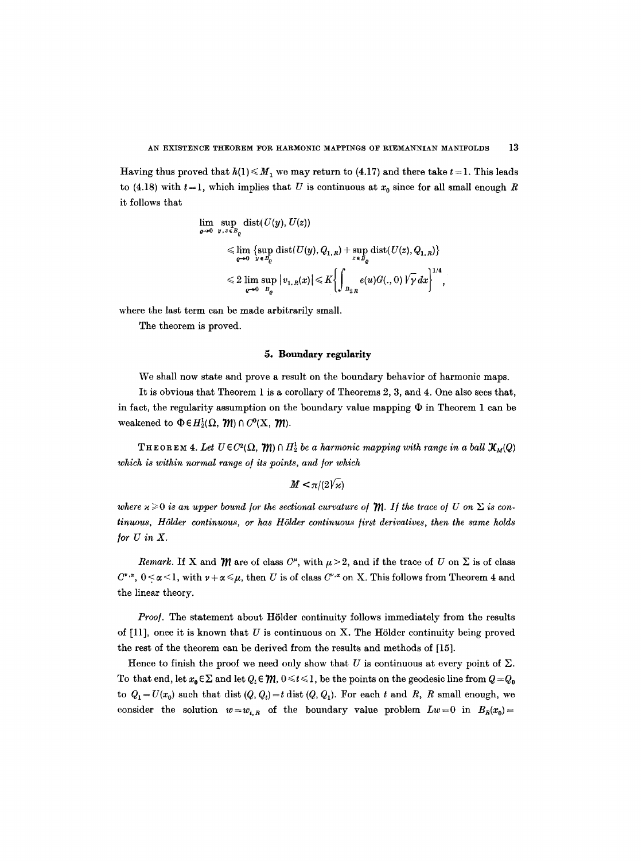Having thus proved that  $h(1) \leq M_1$  we may return to (4.17) and there take  $t = 1$ . This leads to (4.18) with  $t = 1$ , which implies that U is continuous at  $x_0$  since for all small enough R it follows that

$$
\lim_{\varrho \to 0} \sup_{y,z \in B_{\varrho}} \text{dist}(U(y), U(z))
$$
\n
$$
\leq \lim_{\varrho \to 0} \{ \sup_{y \in B_{\varrho}} \text{dist}(U(y), Q_{1,R}) + \sup_{z \in B_{\varrho}} \text{dist}(U(z), Q_{1,R}) \}
$$
\n
$$
\leq 2 \lim_{\varrho \to 0} \sup_{B_{\varrho}} |v_{1,R}(x)| \leq K \left\{ \int_{B_{2,R}} e(u)G(., 0) \sqrt{\gamma} \, dx \right\}^{1/4},
$$

where the last term can be made arbitrarily small.

The theorem is proved.

# 5. Boundary regularity

We shall now state and prove a result on the boundary behavior of harmonic maps.

It is obvious that Theorem 1 is a corollary of Theorems 2, 3, and 4. One also sees that, in fact, the regularity assumption on the boundary value mapping  $\Phi$  in Theorem 1 can be weakened to  $\Phi \in H_2^1(\Omega, \mathcal{M}) \cap C^0(\mathbf{X}, \mathcal{M}).$ 

THEOREM 4. Let  $U \in C^2(\Omega, \mathcal{W}) \cap H^1$  be a harmonic mapping with range in a ball  $\mathcal{X}_M(Q)$ which is within normal range of its points, and for which

 $M < \pi/(2\sqrt{\kappa})$ 

where  $\varkappa \geqslant 0$  is an upper bound for the sectional curvature of  $m$ . If the trace of U on  $\Sigma$  is con*tinuous, H61der continuous, or has H61der continuous/irst derivatives, then the same holds /or U in X.* 

*Remark.* If X and  $\mathcal{W}$  are of class  $C^{\mu}$ , with  $\mu > 2$ , and if the trace of U on  $\Sigma$  is of class  $C^{*,\alpha}$ ,  $0 \leq \alpha \leq 1$ , with  $\nu + \alpha \leq \mu$ , then U is of class  $C^{*,\alpha}$  on X. This follows from Theorem 4 and the linear theory.

*Proof.* The statement about Hölder continuity follows immediately from the results of  $[11]$ , once it is known that U is continuous on X. The Hölder continuity being proved the rest of the theorem can be derived from the results and methods of [15].

Hence to finish the proof we need only show that U is continuous at every point of  $\Sigma$ . To that end, let  $x_0 \in \Sigma$  and let  $Q_t \in \mathcal{W}$ ,  $0 \le t \le 1$ , be the points on the geodesic line from  $Q = Q_0$ to  $Q_1 = U(x_0)$  such that dist  $(Q, Q_t) = t$  dist  $(Q, Q_1)$ . For each t and R, R small enough, we consider the solution  $w=w_{t,R}$  of the boundary value problem  $Lw=0$  in  $B_R(x_0)=$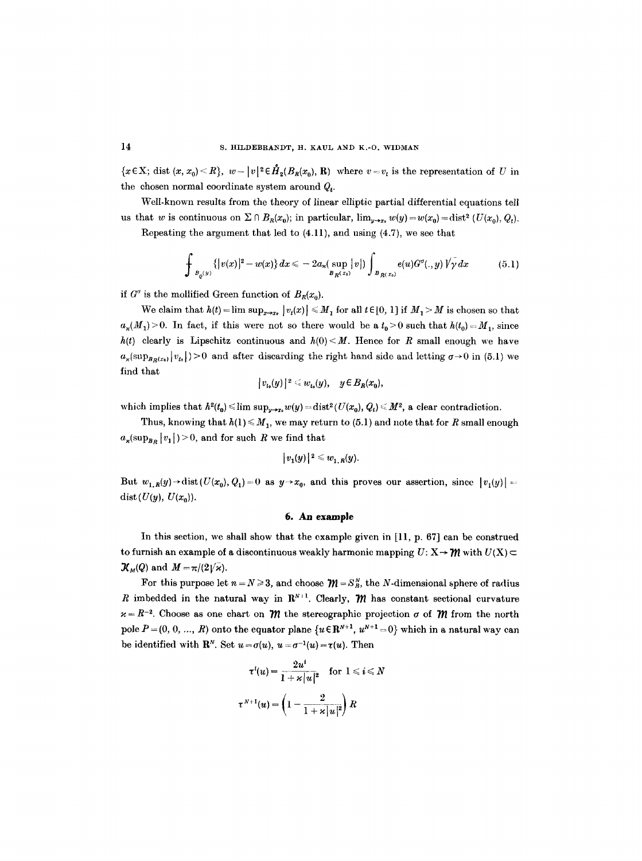${x \in X; \text{ dist } (x, x_0) \le R}$ ,  $w-|v|^2 \in \mathring{H}_2(B_R(x_0), R)$  where  $v=v_t$  is the representation of U in the chosen normal coordinate system around  $Q_t$ .

Well-known results from the theory of linear elliptic partial differential equations tell us that w is continuous on  $\Sigma \cap B_R(x_0)$ ; in particular,  $\lim_{y \to x_0} w(y) = w(x_0) = \text{dist}^2 (U(x_0), Q_t)$ .

Repeating the argument that led to (4.11), and using (4.7), we see that

$$
\int_{B_{\varrho}(y)} {\{|v(x)|^2 - w(x)} dx} \le -2a_{\kappa}(\sup_{B_{R}(x_0)} |v|) \int_{B_{R}(x_0)} e(u) G^{\sigma}(. , y) \sqrt{\gamma} dx \qquad (5.1)
$$

if  $G^{\sigma}$  is the mollified Green function of  $B_R(x_0)$ .

We claim that  $h(t) = \limsup_{x \to x_0} |v_t(x)| \leq M_1$  for all  $t \in [0, 1]$  if  $M_1 > M$  is chosen so that  $a_{\kappa}(M_1) > 0$ . In fact, if this were not so there would be a  $t_0 > 0$  such that  $h(t_0) = M_1$ , since  $h(t)$  clearly is Lipschitz continuous and  $h(0) \leq M$ . Hence for R small enough we have  $a_{\varkappa}(\sup_{B_R(x_0)}|v_{t_0}|)>0$  and after discarding the right hand side and letting  $\sigma\to 0$  in (5.1) we find that

$$
|v_{t_0}(y)|^2 \leq w_{t_0}(y), \quad y \in B_R(x_0)
$$

which implies that  $h^2(t_0) \leq \limsup_{y \to x_0} w(y) = \text{dist}^2(U(x_0), Q_t) \leq M^2$ , a clear contradiction.

Thus, knowing that  $h(1) \leq M_1$ , we may return to (5.1) and note that for R small enough  $a_{\varkappa}(\sup_{B_R} |v_1|) > 0$ , and for such R we find that

$$
|v_1(y)|^2\leqslant w_{1,R}(y).
$$

But  $w_{1,R}(y) \rightarrow \text{dist}(U(x_0), Q_1) = 0$  as  $y \rightarrow x_0$ , and this proves our assertion, since  $|v_1(y)| = 0$ dist $(U(y), U(x_0)).$ 

## **6. An example**

In this section, we shall show that the example given in [11, p. 67] can be construed to furnish an example of a discontinuous weakly harmonic mapping  $U: X \rightarrow \mathcal{W}$  with  $U(X)$   $\subset$  $\mathcal{K}_M(Q)$  and  $M = \pi/(2\sqrt{\kappa}).$ 

For this purpose let  $n = N \ge 3$ , and choose  $\mathcal{W} = S_R^N$ , the N-dimensional sphere of radius R imbedded in the natural way in  $\mathbb{R}^{N+1}$ . Clearly,  $\mathcal{M}$  has constant sectional curvature  $x = R^{-2}$ . Choose as one chart on  $\mathcal{W}$  the stereographic projection  $\sigma$  of  $\mathcal{W}$  from the north pole  $P = (0, 0, ..., R)$  onto the equator plane  $\{u \in \mathbb{R}^{N+1}, u^{N+1} = 0\}$  which in a natural way can be identified with  $\mathbf{R}^N$ . Set  $u = \sigma(u)$ ,  $u = \sigma^{-1}(u) = \tau(u)$ . Then

$$
\tau^i(u) = \frac{2u^i}{1 + \varkappa |u|^2} \quad \text{for } 1 \leq i \leq N
$$
  

$$
\tau^{N+1}(u) = \left(1 - \frac{2}{1 + \varkappa |u|^2}\right) R
$$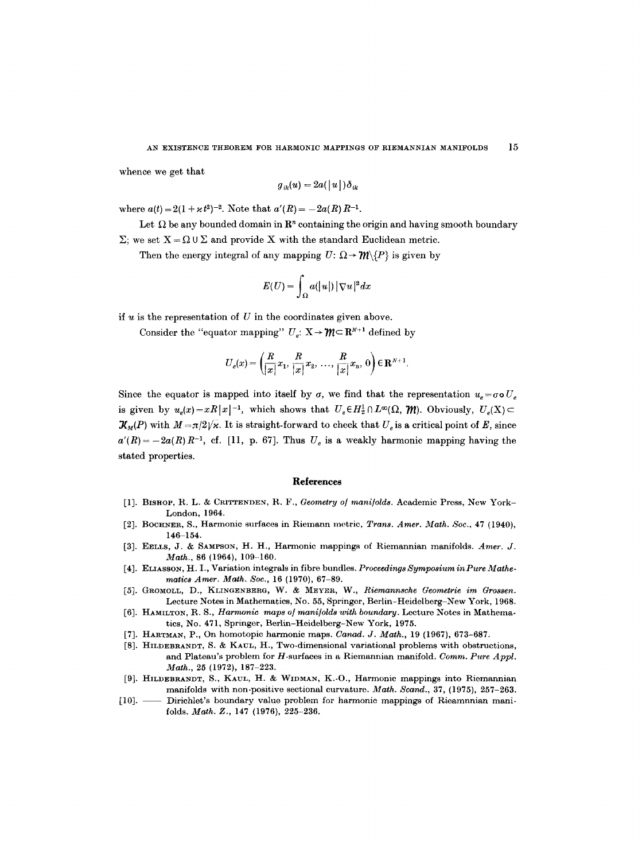whence we get that

$$
g_{ik}(u) = 2a(|u|)\delta_{ik}
$$

where  $a(t) = 2(1 + \varkappa t^2)^{-2}$ . Note that  $a'(R) = -2a(R)R^{-1}$ .

Let  $\Omega$  be any bounded domain in  $\mathbb{R}^n$  containing the origin and having smooth boundary  $\Sigma$ ; we set  $X = \Omega \cup \Sigma$  and provide X with the standard Euclidean metric.

Then the energy integral of any mapping  $U: \Omega \rightarrow \mathcal{W}\backslash \{P\}$  is given by

$$
E(U) = \int_{\Omega} a(|u|) |\nabla u|^2 dx
$$

if  $u$  is the representation of  $U$  in the coordinates given above.

Consider the "equator mapping"  $U_e: X \to \mathcal{W} \subset \mathbb{R}^{N+1}$  defined by

$$
U_e(x) = \left(\frac{R}{|x|}x_1, \frac{R}{|x|}x_2, \ldots, \frac{R}{|x|}x_n, 0\right) \in \mathbf{R}^{N+1}.
$$

Since the equator is mapped into itself by  $\sigma$ , we find that the representation  $u_e = \sigma \sigma U_e$ is given by  $u_s(x)=xR|x|^{-1}$ , which shows that  $U_e \in H^1_2 \cap L^{\infty}(\Omega, \mathcal{W})$ . Obviously,  $U_s(X)$  $\mathcal{K}_M(P)$  with  $M = \pi/2\sqrt{\varkappa}$ . It is straight-forward to check that  $U_e$  is a critical point of E, since  $a'(R) = -2a(R)R^{-1}$ , cf. [11, p. 67]. Thus  $U_e$  is a weakly harmonic mapping having the stated properties.

#### **References**

- [1]. BISHOP, R. L. & CRITTENDEN, R. F., *Geometry o] mani/olds.* Academic Press, New York-London, 1964.
- [2]. BOCHNER, S., Harmonic surfaces in Riemann metric, *Trans. Amer. Math. Soc.,* 47 (1940), 146-154.
- [3]. EELLS, J. & SAMPSON, H. H., Harmonic mappings of Riemannian manifolds. *Amer. J. Math.,* 86 (1964), 109-160.
- [4]. ELIASSON, H. I., Variation integrals in fibre bundles. *Proceedings Symposium inPure Mathematics Amer. Math. Soe.,* 16 (1970), 67-89.
- [5]. GROMOLL, D., KLINGENBERG, W. & MEYER, W., *Riemannsche Geometrie im Grossen.*  Lecture Notes in Mathematics, No. 55, Springer, Berlin-Heidelberg-New York, 1968.
- [6]. HAMILTON, R. S., *Harmonic maps of manifolds with boundary*. Lecture Notes in Mathematics, No. 471, Springer, Berlin-Heidelberg-New York, 1975.
- [7]. HARTMAN, P., On homotopic harmonic maps. *Canad. J. Math.,* 19 (1967), 673-687.
- [8]. HILDEBRANDT, S. & KAUL, H., Two-dimensional variational problems with obstructions, and Plateau's problem for H-surfaces in a Riemannian manifold. *Comm. Pure Appl. Math.,* 25 (1972), 187-223.
- [9]. HILDEBRANDT, S., KAUL, H. & WIDMAN, K.-O., Harmonic mappings into Riemannian manifolds with non-positive sectional curvature. *Math. Scand.,* 37, (1975), 257-263.
- [10]. Dirichlet's boundary value problem for harmonic mappings of Rieamnnian manifolds. *Math. Z.,* 147 (1976), 225-236.